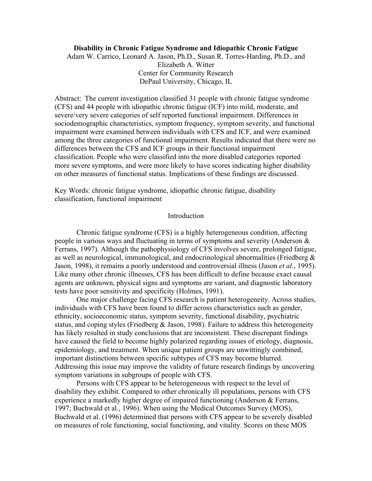# **Disability in Chronic Fatigue Syndrome and Idiopathic Chronic Fatigue**

Adam W. Carrico, Leonard A. Jason, Ph.D., Susan R. Torres-Harding, Ph.D., and Elizabeth A. Witter Center for Community Research DePaul University, Chicago, IL

Abstract: The current investigation classified 31 people with chronic fatigue syndrome (CFS) and 44 people with idiopathic chronic fatigue (ICF) into mild, moderate, and severe/very severe categories of self reported functional impairment. Differences in sociodemographic characteristics, symptom frequency, symptom severity, and functional impairment were examined between individuals with CFS and ICF, and were examined among the three categories of functional impairment. Results indicated that there were no differences between the CFS and ICF groups in their functional impairment classification. People who were classified into the more disabled categories reported more severe symptoms, and were more likely to have scores indicating higher disability on other measures of functional status. Implications of these findings are discussed.

Key Words: chronic fatigue syndrome, idiopathic chronic fatigue, disability classification, functional impairment

## Introduction

Chronic fatigue syndrome (CFS) is a highly heterogeneous condition, affecting people in various ways and fluctuating in terms of symptoms and severity (Anderson & Ferrans, 1997). Although the pathophysiology of CFS involves severe, prolonged fatigue, as well as neurological, immunological, and endocrinological abnormalities (Friedberg & Jason, 1998), it remains a poorly understood and controversial illness (Jason *et al.*, 1995). Like many other chronic illnesses, CFS has been difficult to define because exact causal agents are unknown, physical signs and symptoms are variant, and diagnostic laboratory tests have poor sensitivity and specificity (Holmes, 1991).

One major challenge facing CFS research is patient heterogeneity. Across studies, individuals with CFS have been found to differ across characteristics such as gender, ethnicity, socioeconomic status, symptom severity, functional disability, psychiatric status, and coping styles (Friedberg & Jason, 1998). Failure to address this heterogeneity has likely resulted in study conclusions that are inconsistent. These discrepant findings have caused the field to become highly polarized regarding issues of etiology, diagnosis, epidemiology, and treatment. When unique patient groups are unwittingly combined, important distinctions between specific subtypes of CFS may become blurred. Addressing this issue may improve the validity of future research findings by uncovering symptom variations in subgroups of people with CFS.

Persons with CFS appear to be heterogeneous with respect to the level of disability they exhibit. Compared to other chronically ill populations, persons with CFS experience a markedly higher degree of impaired functioning (Anderson & Ferrans, 1997; Buchwald et al., 1996). When using the Medical Outcomes Survey (MOS), Buchwald et al. (1996) determined that persons with CFS appear to be severely disabled on measures of role functioning, social functioning, and vitality. Scores on these MOS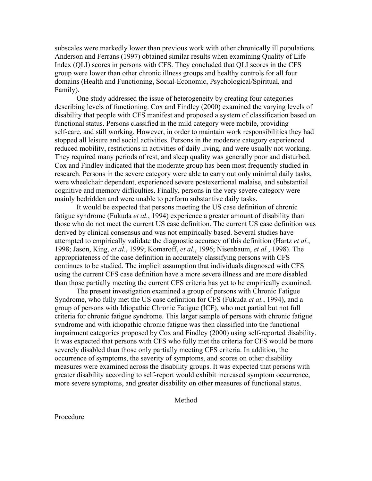subscales were markedly lower than previous work with other chronically ill populations. Anderson and Ferrans (1997) obtained similar results when examining Quality of Life Index (QLI) scores in persons with CFS. They concluded that QLI scores in the CFS group were lower than other chronic illness groups and healthy controls for all four domains (Health and Functioning, Social-Economic, Psychological/Spiritual, and Family).

One study addressed the issue of heterogeneity by creating four categories describing levels of functioning. Cox and Findley (2000) examined the varying levels of disability that people with CFS manifest and proposed a system of classification based on functional status. Persons classified in the mild category were mobile, providing self-care, and still working. However, in order to maintain work responsibilities they had stopped all leisure and social activities. Persons in the moderate category experienced reduced mobility, restrictions in activities of daily living, and were usually not working. They required many periods of rest, and sleep quality was generally poor and disturbed. Cox and Findley indicated that the moderate group has been most frequently studied in research. Persons in the severe category were able to carry out only minimal daily tasks, were wheelchair dependent, experienced severe postexertional malaise, and substantial cognitive and memory difficulties. Finally, persons in the very severe category were mainly bedridden and were unable to perform substantive daily tasks.

It would be expected that persons meeting the US case definition of chronic fatigue syndrome (Fukuda *et al.*, 1994) experience a greater amount of disability than those who do not meet the current US case definition. The current US case definition was derived by clinical consensus and was not empirically based. Several studies have attempted to empirically validate the diagnostic accuracy of this definition (Hartz *et al.*, 1998; Jason, King, *et al.*, 1999; Komaroff, *et al.*, 1996; Nisenbaum, *et al.*, 1998). The appropriateness of the case definition in accurately classifying persons with CFS continues to be studied. The implicit assumption that individuals diagnosed with CFS using the current CFS case definition have a more severe illness and are more disabled than those partially meeting the current CFS criteria has yet to be empirically examined.

The present investigation examined a group of persons with Chronic Fatigue Syndrome, who fully met the US case definition for CFS (Fukuda *et al.*, 1994), and a group of persons with Idiopathic Chronic Fatigue (ICF), who met partial but not full criteria for chronic fatigue syndrome. This larger sample of persons with chronic fatigue syndrome and with idiopathic chronic fatigue was then classified into the functional impairment categories proposed by Cox and Findley (2000) using self-reported disability. It was expected that persons with CFS who fully met the criteria for CFS would be more severely disabled than those only partially meeting CFS criteria. In addition, the occurrence of symptoms, the severity of symptoms, and scores on other disability measures were examined across the disability groups. It was expected that persons with greater disability according to self-report would exhibit increased symptom occurrence, more severe symptoms, and greater disability on other measures of functional status.

Method

Procedure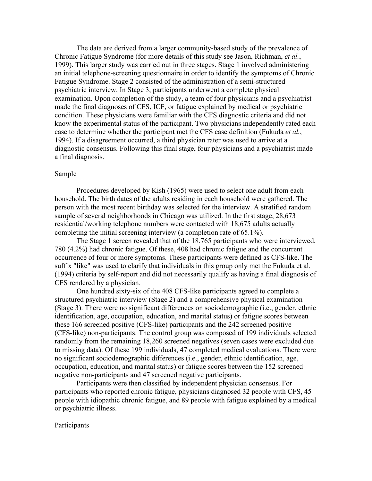The data are derived from a larger community-based study of the prevalence of Chronic Fatigue Syndrome (for more details of this study see Jason, Richman, *et al.*, 1999). This larger study was carried out in three stages. Stage 1 involved administering an initial telephone-screening questionnaire in order to identify the symptoms of Chronic Fatigue Syndrome. Stage 2 consisted of the administration of a semi-structured psychiatric interview. In Stage 3, participants underwent a complete physical examination. Upon completion of the study, a team of four physicians and a psychiatrist made the final diagnoses of CFS, ICF, or fatigue explained by medical or psychiatric condition. These physicians were familiar with the CFS diagnostic criteria and did not know the experimental status of the participant. Two physicians independently rated each case to determine whether the participant met the CFS case definition (Fukuda *et al.*, 1994). If a disagreement occurred, a third physician rater was used to arrive at a diagnostic consensus. Following this final stage, four physicians and a psychiatrist made a final diagnosis.

# Sample

Procedures developed by Kish (1965) were used to select one adult from each household. The birth dates of the adults residing in each household were gathered. The person with the most recent birthday was selected for the interview. A stratified random sample of several neighborhoods in Chicago was utilized. In the first stage, 28,673 residential/working telephone numbers were contacted with 18,675 adults actually completing the initial screening interview (a completion rate of 65.1%).

The Stage 1 screen revealed that of the 18,765 participants who were interviewed, 780 (4.2%) had chronic fatigue. Of these, 408 had chronic fatigue and the concurrent occurrence of four or more symptoms. These participants were defined as CFS-like. The suffix "like" was used to clarify that individuals in this group only met the Fukuda et al. (1994) criteria by self-report and did not necessarily qualify as having a final diagnosis of CFS rendered by a physician.

One hundred sixty-six of the 408 CFS-like participants agreed to complete a structured psychiatric interview (Stage 2) and a comprehensive physical examination (Stage 3). There were no significant differences on sociodemographic (i.e., gender, ethnic identification, age, occupation, education, and marital status) or fatigue scores between these 166 screened positive (CFS-like) participants and the 242 screened positive (CFS-like) non-participants. The control group was composed of 199 individuals selected randomly from the remaining 18,260 screened negatives (seven cases were excluded due to missing data). Of these 199 individuals, 47 completed medical evaluations. There were no significant sociodemographic differences (i.e., gender, ethnic identification, age, occupation, education, and marital status) or fatigue scores between the 152 screened negative non-participants and 47 screened negative participants.

Participants were then classified by independent physician consensus. For participants who reported chronic fatigue, physicians diagnosed 32 people with CFS, 45 people with idiopathic chronic fatigue, and 89 people with fatigue explained by a medical or psychiatric illness.

## Participants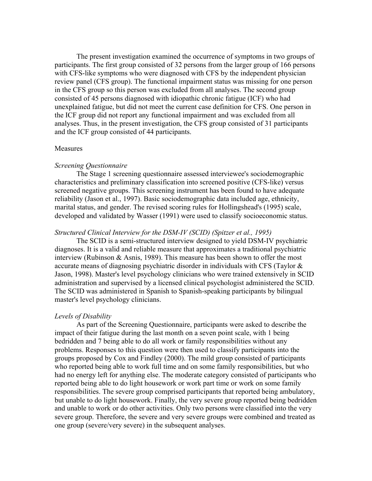The present investigation examined the occurrence of symptoms in two groups of participants. The first group consisted of 32 persons from the larger group of 166 persons with CFS-like symptoms who were diagnosed with CFS by the independent physician review panel (CFS group). The functional impairment status was missing for one person in the CFS group so this person was excluded from all analyses. The second group consisted of 45 persons diagnosed with idiopathic chronic fatigue (ICF) who had unexplained fatigue, but did not meet the current case definition for CFS. One person in the ICF group did not report any functional impairment and was excluded from all analyses. Thus, in the present investigation, the CFS group consisted of 31 participants and the ICF group consisted of 44 participants.

#### Measures

#### *Screening Questionnaire*

The Stage 1 screening questionnaire assessed interviewee's sociodemographic characteristics and preliminary classification into screened positive (CFS-like) versus screened negative groups. This screening instrument has been found to have adequate reliability (Jason et al., 1997). Basic sociodemographic data included age, ethnicity, marital status, and gender. The revised scoring rules for Hollingshead's (1995) scale, developed and validated by Wasser (1991) were used to classify socioeconomic status.

### *Structured Clinical Interview for the DSM-IV (SCID) (Spitzer et al., 1995)*

The SCID is a semi-structured interview designed to yield DSM-IV psychiatric diagnoses. It is a valid and reliable measure that approximates a traditional psychiatric interview (Rubinson & Asnis, 1989). This measure has been shown to offer the most accurate means of diagnosing psychiatric disorder in individuals with CFS (Taylor & Jason, 1998). Master's level psychology clinicians who were trained extensively in SCID administration and supervised by a licensed clinical psychologist administered the SCID. The SCID was administered in Spanish to Spanish-speaking participants by bilingual master's level psychology clinicians.

#### *Levels of Disability*

As part of the Screening Questionnaire, participants were asked to describe the impact of their fatigue during the last month on a seven point scale, with 1 being bedridden and 7 being able to do all work or family responsibilities without any problems. Responses to this question were then used to classify participants into the groups proposed by Cox and Findley (2000). The mild group consisted of participants who reported being able to work full time and on some family responsibilities, but who had no energy left for anything else. The moderate category consisted of participants who reported being able to do light housework or work part time or work on some family responsibilities. The severe group comprised participants that reported being ambulatory, but unable to do light housework. Finally, the very severe group reported being bedridden and unable to work or do other activities. Only two persons were classified into the very severe group. Therefore, the severe and very severe groups were combined and treated as one group (severe/very severe) in the subsequent analyses.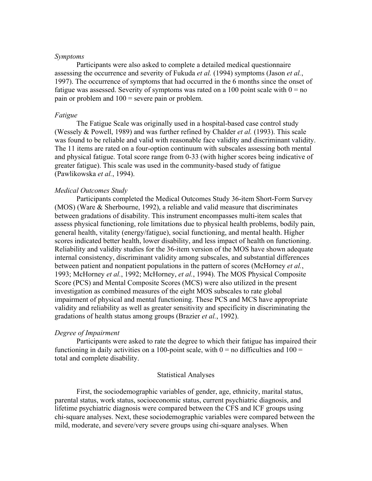# *Symptoms*

Participants were also asked to complete a detailed medical questionnaire assessing the occurrence and severity of Fukuda *et al.* (1994) symptoms (Jason *et al.*, 1997). The occurrence of symptoms that had occurred in the 6 months since the onset of fatigue was assessed. Severity of symptoms was rated on a 100 point scale with  $0 = no$ pain or problem and 100 = severe pain or problem.

#### *Fatigue*

The Fatigue Scale was originally used in a hospital-based case control study (Wessely & Powell, 1989) and was further refined by Chalder *et al.* (1993). This scale was found to be reliable and valid with reasonable face validity and discriminant validity. The 11 items are rated on a four-option continuum with subscales assessing both mental and physical fatigue. Total score range from 0-33 (with higher scores being indicative of greater fatigue). This scale was used in the community-based study of fatigue (Pawlikowska *et al.*, 1994).

# *Medical Outcomes Study*

Participants completed the Medical Outcomes Study 36-item Short-Form Survey (MOS) (Ware & Sherbourne, 1992), a reliable and valid measure that discriminates between gradations of disability. This instrument encompasses multi-item scales that assess physical functioning, role limitations due to physical health problems, bodily pain, general health, vitality (energy/fatigue), social functioning, and mental health. Higher scores indicated better health, lower disability, and less impact of health on functioning. Reliability and validity studies for the 36-item version of the MOS have shown adequate internal consistency, discriminant validity among subscales, and substantial differences between patient and nonpatient populations in the pattern of scores (McHorney *et al.*, 1993; McHorney *et al.*, 1992; McHorney, *et al.*, 1994). The MOS Physical Composite Score (PCS) and Mental Composite Scores (MCS) were also utilized in the present investigation as combined measures of the eight MOS subscales to rate global impairment of physical and mental functioning. These PCS and MCS have appropriate validity and reliability as well as greater sensitivity and specificity in discriminating the gradations of health status among groups (Brazier *et al.*, 1992).

#### *Degree of Impairment*

Participants were asked to rate the degree to which their fatigue has impaired their functioning in daily activities on a 100-point scale, with  $0 =$  no difficulties and  $100 =$ total and complete disability.

#### Statistical Analyses

First, the sociodemographic variables of gender, age, ethnicity, marital status, parental status, work status, socioeconomic status, current psychiatric diagnosis, and lifetime psychiatric diagnosis were compared between the CFS and ICF groups using chi-square analyses. Next, these sociodemographic variables were compared between the mild, moderate, and severe/very severe groups using chi-square analyses. When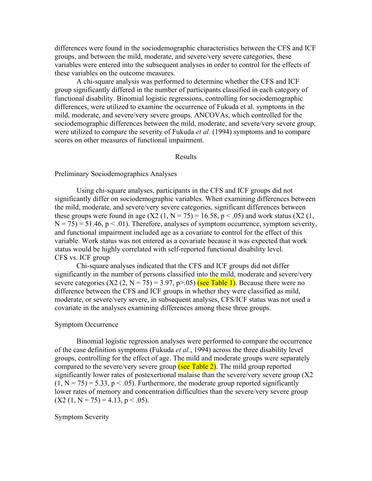differences were found in the sociodemographic characteristics between the CFS and ICF groups, and between the mild, moderate, and severe/very severe categories, these variables were entered into the subsequent analyses in order to control for the effects of these variables on the outcome measures.

A chi-square analysis was performed to determine whether the CFS and ICF group significantly differed in the number of participants classified in each category of functional disability. Binomial logistic regressions, controlling for sociodemographic differences, were utilized to examine the occurrence of Fukuda et al. symptoms in the mild, moderate, and severe/very severe groups. ANCOVAs, which controlled for the sociodemographic differences between the mild, moderate, and severe/very severe group, were utilized to compare the severity of Fukuda *et al.* (1994) symptoms and to compare scores on other measures of functional impairment.

### Results

# Preliminary Sociodemographics Analyses

Using chi-square analyses, participants in the CFS and ICF groups did not significantly differ on sociodemographic variables. When examining differences between the mild, moderate, and severe/very severe categories, significant differences between these groups were found in age  $(X2 (1, N = 75) = 16.58, p < .05)$  and work status  $(X2 (1, N = 75) = 16.58, p < .05)$  $N = 75$ ) = 51.46, p < .01). Therefore, analyses of symptom occurrence, symptom severity, and functional impairment included age as a covariate to control for the effect of this variable. Work status was not entered as a covariate because it was expected that work status would be highly correlated with self-reported functional disability level. CFS vs. ICF group

Chi-square analyses indicated that the CFS and ICF groups did not differ significantly in the number of persons classified into the mild, moderate and severe/very severe categories  $(X2 (2, N = 75) = 3.97, p > .05)$  (see Table 1). Because there were no difference between the CFS and ICF groups in whether they were classified as mild, moderate, or severe/very severe, in subsequent analyses, CFS/ICF status was not used a covariate in the analyses examining differences among these three groups.

#### Symptom Occurrence

Binomial logistic regression analyses were performed to compare the occurrence of the case definition symptoms (Fukuda *et al.*, 1994) across the three disability level groups, controlling for the effect of age. The mild and moderate groups were separately compared to the severe/very severe group  $\frac{\text{(see Table 2)}}{\text{(see Table 2)}}$ . The mild group reported significantly lower rates of postexertional malaise than the severe/very severe group (X2  $(1, N = 75) = 5.33$ ,  $p < .05$ ). Furthermore, the moderate group reported significantly lower rates of memory and concentration difficulties than the severe/very severe group  $(X2 (1, N = 75) = 4.13, p < .05)$ .

#### Symptom Severity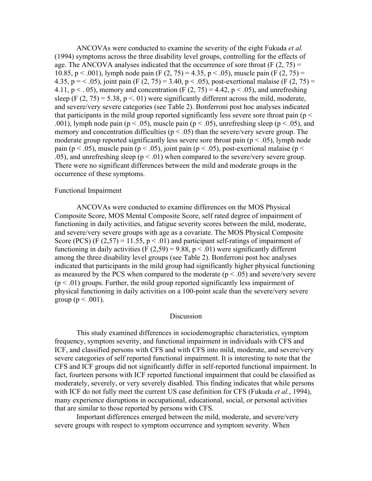ANCOVAs were conducted to examine the severity of the eight Fukuda *et al.* (1994) symptoms across the three disability level groups, controlling for the effects of age. The ANCOVA analyses indicated that the occurrence of sore throat (F  $(2, 75)$ ) = 10.85, p < .001), lymph node pain (F  $(2, 75) = 4.35$ , p < .05), muscle pain (F  $(2, 75) =$ 4.35, p = < .05), joint pain (F (2, 75) = 3.40, p < .05), post-exertional malaise (F (2, 75) = 4.11,  $p < 0.05$ ), memory and concentration (F  $(2, 75) = 4.42$ ,  $p < 0.05$ ), and unrefreshing sleep (F  $(2, 75) = 5.38$ , p  $\leq$  01) were significantly different across the mild, moderate, and severe/very severe categories (see Table 2). Bonferroni post hoc analyses indicated that participants in the mild group reported significantly less severe sore throat pain ( $p <$ .001), lymph node pain ( $p < .05$ ), muscle pain ( $p < .05$ ), unrefreshing sleep ( $p < .05$ ), and memory and concentration difficulties ( $p < .05$ ) than the severe/very severe group. The moderate group reported significantly less severe sore throat pain ( $p < .05$ ), lymph node pain ( $p < .05$ ), muscle pain ( $p < .05$ ), joint pain ( $p < .05$ ), post-exertional malaise ( $p <$ .05), and unrefreshing sleep ( $p < 0.01$ ) when compared to the severe/very severe group. There were no significant differences between the mild and moderate groups in the occurrence of these symptoms.

# Functional Impairment

ANCOVAs were conducted to examine differences on the MOS Physical Composite Score, MOS Mental Composite Score, self rated degree of impairment of functioning in daily activities, and fatigue severity scores between the mild, moderate, and severe/very severe groups with age as a covariate. The MOS Physical Composite Score (PCS) (F  $(2,57) = 11.55$ ,  $p < .01$ ) and participant self-ratings of impairment of functioning in daily activities (F  $(2,59) = 9.88$ , p < .01) were significantly different among the three disability level groups (see Table 2). Bonferroni post hoc analyses indicated that participants in the mild group had significantly higher physical functioning as measured by the PCS when compared to the moderate ( $p < .05$ ) and severe/very severe  $(p < .01)$  groups. Further, the mild group reported significantly less impairment of physical functioning in daily activities on a 100-point scale than the severe/very severe group ( $p < .001$ ).

# Discussion

This study examined differences in sociodemographic characteristics, symptom frequency, symptom severity, and functional impairment in individuals with CFS and ICF, and classified persons with CFS and with CFS into mild, moderate, and severe/very severe categories of self reported functional impairment. It is interesting to note that the CFS and ICF groups did not significantly differ in self-reported functional impairment. In fact, fourteen persons with ICF reported functional impairment that could be classified as moderately, severely, or very severely disabled. This finding indicates that while persons with ICF do not fully meet the current US case definition for CFS (Fukuda *et al.*, 1994), many experience disruptions in occupational, educational, social, or personal activities that are similar to those reported by persons with CFS.

Important differences emerged between the mild, moderate, and severe/very severe groups with respect to symptom occurrence and symptom severity. When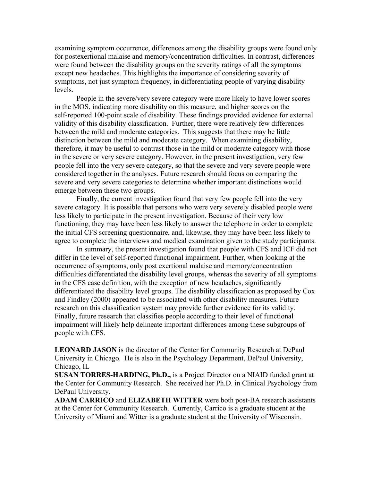examining symptom occurrence, differences among the disability groups were found only for postexertional malaise and memory/concentration difficulties. In contrast, differences were found between the disability groups on the severity ratings of all the symptoms except new headaches. This highlights the importance of considering severity of symptoms, not just symptom frequency, in differentiating people of varying disability levels.

People in the severe/very severe category were more likely to have lower scores in the MOS, indicating more disability on this measure, and higher scores on the self-reported 100-point scale of disability. These findings provided evidence for external validity of this disability classification. Further, there were relatively few differences between the mild and moderate categories. This suggests that there may be little distinction between the mild and moderate category. When examining disability, therefore, it may be useful to contrast those in the mild or moderate category with those in the severe or very severe category. However, in the present investigation, very few people fell into the very severe category, so that the severe and very severe people were considered together in the analyses. Future research should focus on comparing the severe and very severe categories to determine whether important distinctions would emerge between these two groups.

Finally, the current investigation found that very few people fell into the very severe category. It is possible that persons who were very severely disabled people were less likely to participate in the present investigation. Because of their very low functioning, they may have been less likely to answer the telephone in order to complete the initial CFS screening questionnaire, and, likewise, they may have been less likely to agree to complete the interviews and medical examination given to the study participants.

In summary, the present investigation found that people with CFS and ICF did not differ in the level of self-reported functional impairment. Further, when looking at the occurrence of symptoms, only post exertional malaise and memory/concentration difficulties differentiated the disability level groups, whereas the severity of all symptoms in the CFS case definition, with the exception of new headaches, significantly differentiated the disability level groups. The disability classification as proposed by Cox and Findley (2000) appeared to be associated with other disability measures. Future research on this classification system may provide further evidence for its validity. Finally, future research that classifies people according to their level of functional impairment will likely help delineate important differences among these subgroups of people with CFS.

**LEONARD JASON** is the director of the Center for Community Research at DePaul University in Chicago. He is also in the Psychology Department, DePaul University, Chicago, IL

**SUSAN TORRES-HARDING, Ph.D.,** is a Project Director on a NIAID funded grant at the Center for Community Research. She received her Ph.D. in Clinical Psychology from DePaul University.

**ADAM CARRICO** and **ELIZABETH WITTER** were both post-BA research assistants at the Center for Community Research. Currently, Carrico is a graduate student at the University of Miami and Witter is a graduate student at the University of Wisconsin.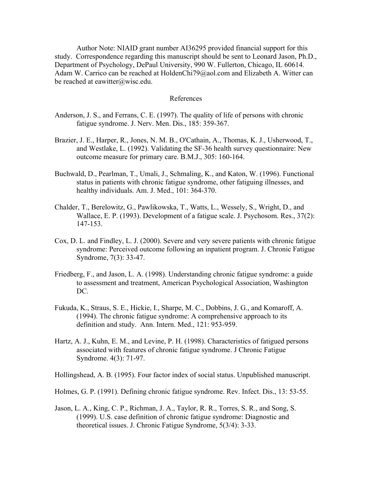Author Note: NIAID grant number AI36295 provided financial support for this study. Correspondence regarding this manuscript should be sent to Leonard Jason, Ph.D., Department of Psychology, DePaul University, 990 W. Fullerton, Chicago, IL 60614. Adam W. Carrico can be reached at HoldenChi79@aol.com and Elizabeth A. Witter can be reached at eawitter@wisc.edu.

# References

- Anderson, J. S., and Ferrans, C. E. (1997). The quality of life of persons with chronic fatigue syndrome. J. Nerv. Men. Dis., 185: 359-367.
- Brazier, J. E., Harper, R., Jones, N. M. B., O'Cathain, A., Thomas, K. J., Usherwood, T., and Westlake, L. (1992). Validating the SF-36 health survey questionnaire: New outcome measure for primary care. B.M.J., 305: 160-164.
- Buchwald, D., Pearlman, T., Umali, J., Schmaling, K., and Katon, W. (1996). Functional status in patients with chronic fatigue syndrome, other fatiguing illnesses, and healthy individuals. Am. J. Med., 101: 364-370.
- Chalder, T., Berelowitz, G., Pawlikowska, T., Watts, L., Wessely, S., Wright, D., and Wallace, E. P. (1993). Development of a fatigue scale. J. Psychosom. Res., 37(2): 147-153.
- Cox, D. L. and Findley, L. J. (2000). Severe and very severe patients with chronic fatigue syndrome: Perceived outcome following an inpatient program. J. Chronic Fatigue Syndrome, 7(3): 33-47.
- Friedberg, F., and Jason, L. A. (1998). Understanding chronic fatigue syndrome: a guide to assessment and treatment, American Psychological Association, Washington DC.
- Fukuda, K., Straus, S. E., Hickie, I., Sharpe, M. C., Dobbins, J. G., and Komaroff, A. (1994). The chronic fatigue syndrome: A comprehensive approach to its definition and study. Ann. Intern. Med., 121: 953-959.
- Hartz, A. J., Kuhn, E. M., and Levine, P. H. (1998). Characteristics of fatigued persons associated with features of chronic fatigue syndrome. J Chronic Fatigue Syndrome. 4(3): 71-97.

Hollingshead, A. B. (1995). Four factor index of social status. Unpublished manuscript.

- Holmes, G. P. (1991). Defining chronic fatigue syndrome. Rev. Infect. Dis., 13: 53-55.
- Jason, L. A., King, C. P., Richman, J. A., Taylor, R. R., Torres, S. R., and Song, S. (1999). U.S. case definition of chronic fatigue syndrome: Diagnostic and theoretical issues. J. Chronic Fatigue Syndrome, 5(3/4): 3-33.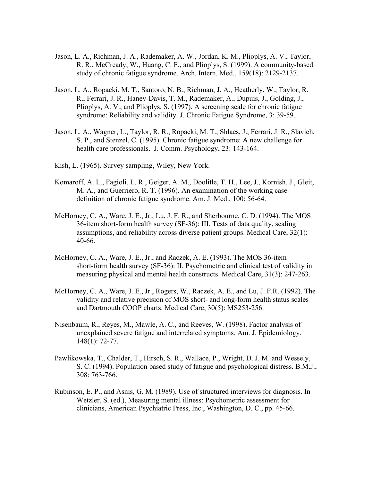- Jason, L. A., Richman, J. A., Rademaker, A. W., Jordan, K. M., Plioplys, A. V., Taylor, R. R., McCready, W., Huang, C. F., and Plioplys, S. (1999). A community-based study of chronic fatigue syndrome. Arch. Intern. Med., 159(18): 2129-2137.
- Jason, L. A., Ropacki, M. T., Santoro, N. B., Richman, J. A., Heatherly, W., Taylor, R. R., Ferrari, J. R., Haney-Davis, T. M., Rademaker, A., Dupuis, J., Golding, J., Plioplys, A. V., and Plioplys, S. (1997). A screening scale for chronic fatigue syndrome: Reliability and validity. J. Chronic Fatigue Syndrome, 3: 39-59.
- Jason, L. A., Wagner, L., Taylor, R. R., Ropacki, M. T., Shlaes, J., Ferrari, J. R., Slavich, S. P., and Stenzel, C. (1995). Chronic fatigue syndrome: A new challenge for health care professionals. J. Comm. Psychology, 23: 143-164.
- Kish, L. (1965). Survey sampling, Wiley, New York.
- Komaroff, A. L., Fagioli, L. R., Geiger, A. M., Doolitle, T. H., Lee, J., Kornish, J., Gleit, M. A., and Guerriero, R. T. (1996). An examination of the working case definition of chronic fatigue syndrome. Am. J. Med., 100: 56-64.
- McHorney, C. A., Ware, J. E., Jr., Lu, J. F. R., and Sherbourne, C. D. (1994). The MOS 36-item short-form health survey (SF-36): III. Tests of data quality, scaling assumptions, and reliability across diverse patient groups. Medical Care, 32(1): 40-66.
- McHorney, C. A., Ware, J. E., Jr., and Raczek, A. E. (1993). The MOS 36-item short-form health survey (SF-36): II. Psychometric and clinical test of validity in measuring physical and mental health constructs. Medical Care, 31(3): 247-263.
- McHorney, C. A., Ware, J. E., Jr., Rogers, W., Raczek, A. E., and Lu, J. F.R. (1992). The validity and relative precision of MOS short- and long-form health status scales and Dartmouth COOP charts. Medical Care, 30(5): MS253-256.
- Nisenbaum, R., Reyes, M., Mawle, A. C., and Reeves, W. (1998). Factor analysis of unexplained severe fatigue and interrelated symptoms. Am. J. Epidemiology, 148(1): 72-77.
- Pawlikowska, T., Chalder, T., Hirsch, S. R., Wallace, P., Wright, D. J. M. and Wessely, S. C. (1994). Population based study of fatigue and psychological distress. B.M.J., 308: 763-766.
- Rubinson, E. P., and Asnis, G. M. (1989). Use of structured interviews for diagnosis. In Wetzler, S. (ed.), Measuring mental illness: Psychometric assessment for clinicians, American Psychiatric Press, Inc., Washington, D. C., pp. 45-66.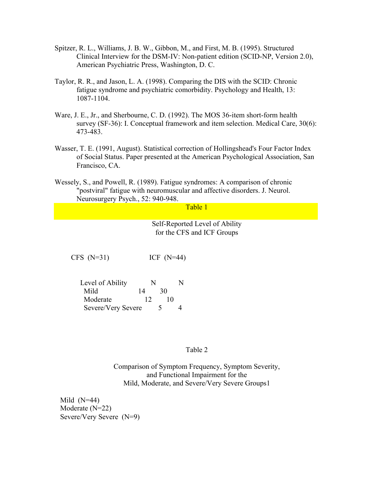- Spitzer, R. L., Williams, J. B. W., Gibbon, M., and First, M. B. (1995). Structured Clinical Interview for the DSM-IV: Non-patient edition (SCID-NP, Version 2.0), American Psychiatric Press, Washington, D. C.
- Taylor, R. R., and Jason, L. A. (1998). Comparing the DIS with the SCID: Chronic fatigue syndrome and psychiatric comorbidity. Psychology and Health, 13: 1087-1104.
- Ware, J. E., Jr., and Sherbourne, C. D. (1992). The MOS 36-item short-form health survey (SF-36): I. Conceptual framework and item selection. Medical Care, 30(6): 473-483.
- Wasser, T. E. (1991, August). Statistical correction of Hollingshead's Four Factor Index of Social Status. Paper presented at the American Psychological Association, San Francisco, CA.
- Wessely, S., and Powell, R. (1989). Fatigue syndromes: A comparison of chronic "postviral" fatigue with neuromuscular and affective disorders. J. Neurol. Neurosurgery Psych., 52: 940-948.

Table 1

Self-Reported Level of Ability for the CFS and ICF Groups

 $CFS (N=31)$  ICF  $(N=44)$ 

| Level of Ability   | N  |    | N |
|--------------------|----|----|---|
| Mild               | 14 | 30 |   |
| Moderate           | 12 | 10 |   |
| Severe/Very Severe |    |    |   |

Table 2

Comparison of Symptom Frequency, Symptom Severity, and Functional Impairment for the Mild, Moderate, and Severe/Very Severe Groups1

Mild  $(N=44)$ Moderate (N=22) Severe/Very Severe (N=9)